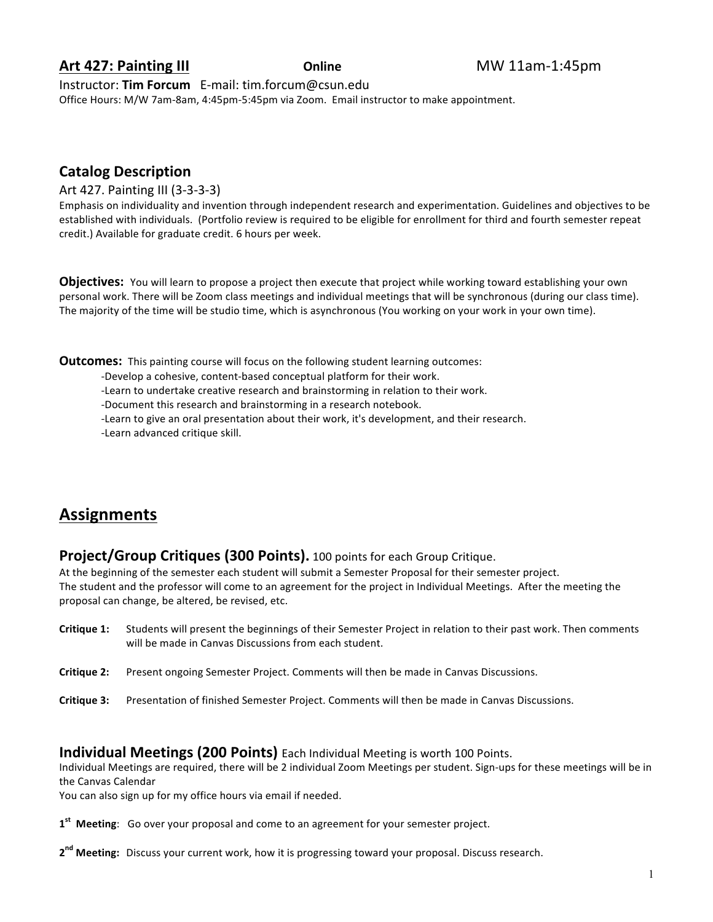#### **Art 427: Painting III Online** MW 11am-1:45pm

Instructor: **Tim Forcum** E-mail: tim.forcum@csun.edu

Office Hours: M/W 7am-8am, 4:45pm-5:45pm via Zoom. Email instructor to make appointment.

## **Catalog Description**

#### Art 427. Painting III (3-3-3-3)

Emphasis on individuality and invention through independent research and experimentation. Guidelines and objectives to be established with individuals. (Portfolio review is required to be eligible for enrollment for third and fourth semester repeat credit.) Available for graduate credit. 6 hours per week.

**Objectives:** You will learn to propose a project then execute that project while working toward establishing your own personal work. There will be Zoom class meetings and individual meetings that will be synchronous (during our class time). The majority of the time will be studio time, which is asynchronous (You working on your work in your own time).

**Outcomes:** This painting course will focus on the following student learning outcomes:

- -Develop a cohesive, content-based conceptual platform for their work.
- -Learn to undertake creative research and brainstorming in relation to their work.

-Document this research and brainstorming in a research notebook.

-Learn to give an oral presentation about their work, it's development, and their research.

-Learn advanced critique skill.

# **Assignments**

#### **Project/Group Critiques (300 Points).** 100 points for each Group Critique.

At the beginning of the semester each student will submit a Semester Proposal for their semester project. The student and the professor will come to an agreement for the project in Individual Meetings. After the meeting the proposal can change, be altered, be revised, etc.

- **Critique 1:** Students will present the beginnings of their Semester Project in relation to their past work. Then comments will be made in Canvas Discussions from each student.
- Critique 2: Present ongoing Semester Project. Comments will then be made in Canvas Discussions.
- Critique 3: Presentation of finished Semester Project. Comments will then be made in Canvas Discussions.

#### **Individual Meetings (200 Points)** Each Individual Meeting is worth 100 Points.

Individual Meetings are required, there will be 2 individual Zoom Meetings per student. Sign-ups for these meetings will be in the Canvas Calendar

You can also sign up for my office hours via email if needed.

- 1<sup>st</sup> Meeting: Go over your proposal and come to an agreement for your semester project.
- **2<sup>nd</sup> Meeting:** Discuss your current work, how it is progressing toward your proposal. Discuss research.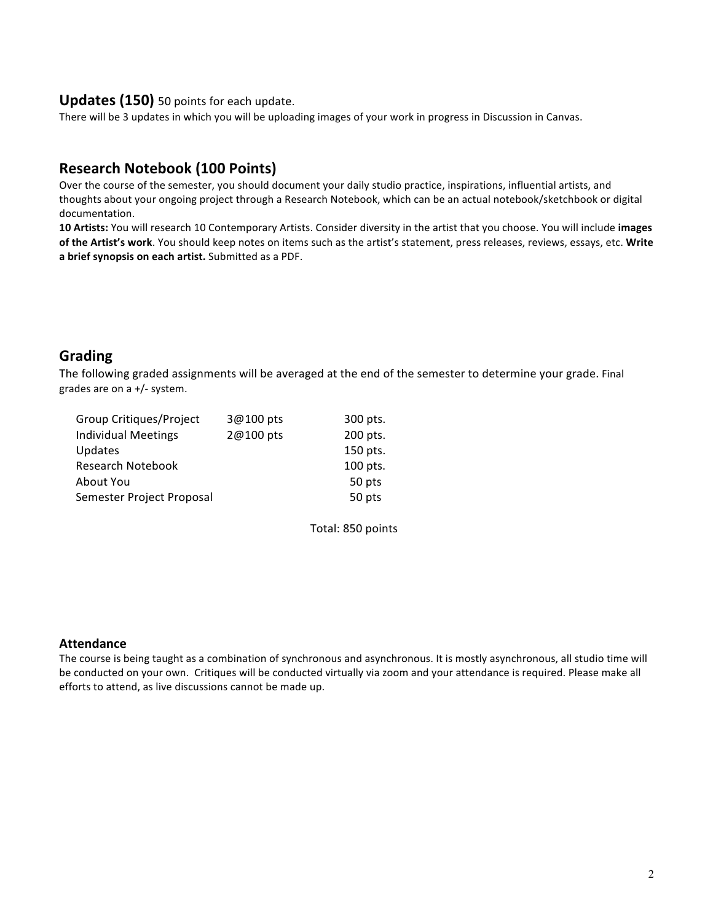### **Updates (150)** 50 points for each update.

There will be 3 updates in which you will be uploading images of your work in progress in Discussion in Canvas.

# **Research Notebook (100 Points)**

Over the course of the semester, you should document your daily studio practice, inspirations, influential artists, and thoughts about your ongoing project through a Research Notebook, which can be an actual notebook/sketchbook or digital documentation.

10 Artists: You will research 10 Contemporary Artists. Consider diversity in the artist that you choose. You will include *images* of the Artist's work. You should keep notes on items such as the artist's statement, press releases, reviews, essays, etc. Write a brief synopsis on each artist. Submitted as a PDF.

# **Grading**

The following graded assignments will be averaged at the end of the semester to determine your grade. Final grades are on  $a +$ /- system.

| Group Critiques/Project    | 3@100 pts | 300 pts. |
|----------------------------|-----------|----------|
| <b>Individual Meetings</b> | 2@100 pts | 200 pts. |
| Updates                    |           | 150 pts. |
| Research Notebook          |           | 100 pts. |
| About You                  |           | 50 pts   |
| Semester Project Proposal  |           | 50 pts   |
|                            |           |          |

Total: 850 points

#### **Attendance**

The course is being taught as a combination of synchronous and asynchronous. It is mostly asynchronous, all studio time will be conducted on your own. Critiques will be conducted virtually via zoom and your attendance is required. Please make all efforts to attend, as live discussions cannot be made up.